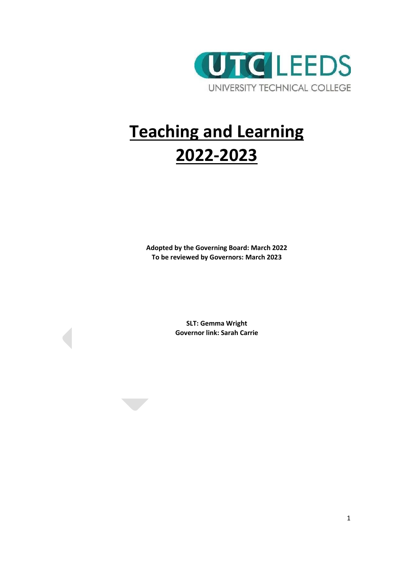

# **Teaching and Learning 2022-2023**

**Adopted by the Governing Board: March 2022 To be reviewed by Governors: March 2023**

> **SLT: Gemma Wright Governor link: Sarah Carrie**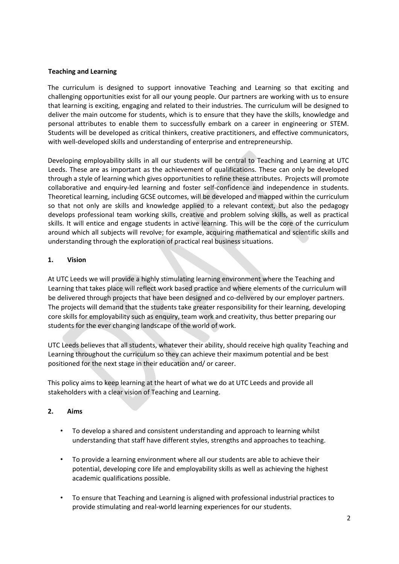#### **Teaching and Learning**

The curriculum is designed to support innovative Teaching and Learning so that exciting and challenging opportunities exist for all our young people. Our partners are working with us to ensure that learning is exciting, engaging and related to their industries. The curriculum will be designed to deliver the main outcome for students, which is to ensure that they have the skills, knowledge and personal attributes to enable them to successfully embark on a career in engineering or STEM. Students will be developed as critical thinkers, creative practitioners, and effective communicators, with well-developed skills and understanding of enterprise and entrepreneurship.

Developing employability skills in all our students will be central to Teaching and Learning at UTC Leeds. These are as important as the achievement of qualifications. These can only be developed through a style of learning which gives opportunities to refine these attributes. Projects will promote collaborative and enquiry‐led learning and foster self‐confidence and independence in students. Theoretical learning, including GCSE outcomes, will be developed and mapped within the curriculum so that not only are skills and knowledge applied to a relevant context, but also the pedagogy develops professional team working skills, creative and problem solving skills, as well as practical skills. It will entice and engage students in active learning. This will be the core of the curriculum around which all subjects will revolve; for example, acquiring mathematical and scientific skills and understanding through the exploration of practical real business situations.

#### **1. Vision**

At UTC Leeds we will provide a highly stimulating learning environment where the Teaching and Learning that takes place will reflect work based practice and where elements of the curriculum will be delivered through projects that have been designed and co-delivered by our employer partners. The projects will demand that the students take greater responsibility for their learning, developing core skills for employability such as enquiry, team work and creativity, thus better preparing our students for the ever changing landscape of the world of work.

UTC Leeds believes that all students, whatever their ability, should receive high quality Teaching and Learning throughout the curriculum so they can achieve their maximum potential and be best positioned for the next stage in their education and/ or career.

This policy aims to keep learning at the heart of what we do at UTC Leeds and provide all stakeholders with a clear vision of Teaching and Learning.

#### **2. Aims**

- To develop a shared and consistent understanding and approach to learning whilst understanding that staff have different styles, strengths and approaches to teaching.
- To provide a learning environment where all our students are able to achieve their potential, developing core life and employability skills as well as achieving the highest academic qualifications possible.
- To ensure that Teaching and Learning is aligned with professional industrial practices to provide stimulating and real‐world learning experiences for our students.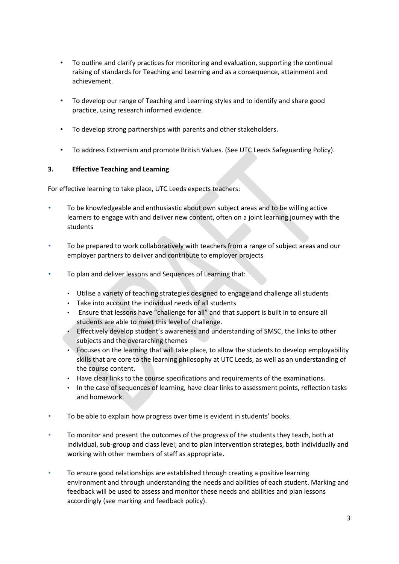- To outline and clarify practices for monitoring and evaluation, supporting the continual raising of standards for Teaching and Learning and as a consequence, attainment and achievement.
- To develop our range of Teaching and Learning styles and to identify and share good practice, using research informed evidence.
- To develop strong partnerships with parents and other stakeholders.
- To address Extremism and promote British Values. (See UTC Leeds Safeguarding Policy).

#### **3. Effective Teaching and Learning**

For effective learning to take place, UTC Leeds expects teachers:

- To be knowledgeable and enthusiastic about own subject areas and to be willing active learners to engage with and deliver new content, often on a joint learning journey with the students
- To be prepared to work collaboratively with teachers from a range of subject areas and our employer partners to deliver and contribute to employer projects
- To plan and deliver lessons and Sequences of Learning that:
	- Utilise a variety of teaching strategies designed to engage and challenge all students
	- Take into account the individual needs of all students
	- Ensure that lessons have "challenge for all" and that support is built in to ensure all students are able to meet this level of challenge.
	- Effectively develop student's awareness and understanding of SMSC, the links to other subjects and the overarching themes
	- Focuses on the learning that will take place, to allow the students to develop employability skills that are core to the learning philosophy at UTC Leeds, as well as an understanding of the course content.
	- Have clear links to the course specifications and requirements of the examinations.
	- In the case of sequences of learning, have clear links to assessment points, reflection tasks and homework.
- To be able to explain how progress over time is evident in students' books.
- To monitor and present the outcomes of the progress of the students they teach, both at individual, sub‐group and class level; and to plan intervention strategies, both individually and working with other members of staff as appropriate.
- To ensure good relationships are established through creating a positive learning environment and through understanding the needs and abilities of each student. Marking and feedback will be used to assess and monitor these needs and abilities and plan lessons accordingly (see marking and feedback policy).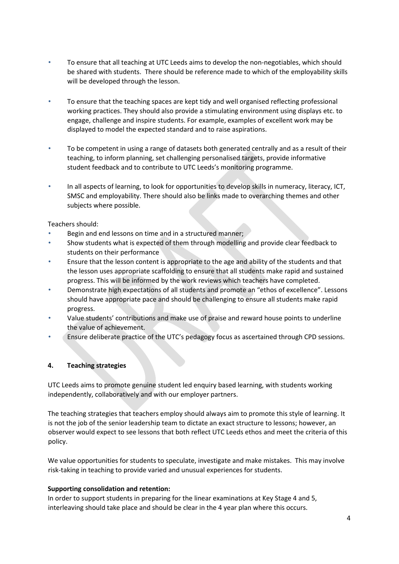- To ensure that all teaching at UTC Leeds aims to develop the non-negotiables, which should be shared with students. There should be reference made to which of the employability skills will be developed through the lesson.
- To ensure that the teaching spaces are kept tidy and well organised reflecting professional working practices. They should also provide a stimulating environment using displays etc. to engage, challenge and inspire students. For example, examples of excellent work may be displayed to model the expected standard and to raise aspirations.
- To be competent in using a range of datasets both generated centrally and as a result of their teaching, to inform planning, set challenging personalised targets, provide informative student feedback and to contribute to UTC Leeds's monitoring programme.
- In all aspects of learning, to look for opportunities to develop skills in numeracy, literacy, ICT, SMSC and employability. There should also be links made to overarching themes and other subjects where possible.

Teachers should:

- Begin and end lessons on time and in a structured manner;
- Show students what is expected of them through modelling and provide clear feedback to students on their performance
- Ensure that the lesson content is appropriate to the age and ability of the students and that the lesson uses appropriate scaffolding to ensure that all students make rapid and sustained progress. This will be informed by the work reviews which teachers have completed.
- Demonstrate high expectations of all students and promote an "ethos of excellence". Lessons should have appropriate pace and should be challenging to ensure all students make rapid progress.
- Value students' contributions and make use of praise and reward house points to underline the value of achievement.
- Ensure deliberate practice of the UTC's pedagogy focus as ascertained through CPD sessions.

#### **4. Teaching strategies**

UTC Leeds aims to promote genuine student led enquiry based learning, with students working independently, collaboratively and with our employer partners.

The teaching strategies that teachers employ should always aim to promote this style of learning. It is not the job of the senior leadership team to dictate an exact structure to lessons; however, an observer would expect to see lessons that both reflect UTC Leeds ethos and meet the criteria of this policy.

We value opportunities for students to speculate, investigate and make mistakes. This may involve risk‐taking in teaching to provide varied and unusual experiences for students.

#### **Supporting consolidation and retention:**

In order to support students in preparing for the linear examinations at Key Stage 4 and 5, interleaving should take place and should be clear in the 4 year plan where this occurs.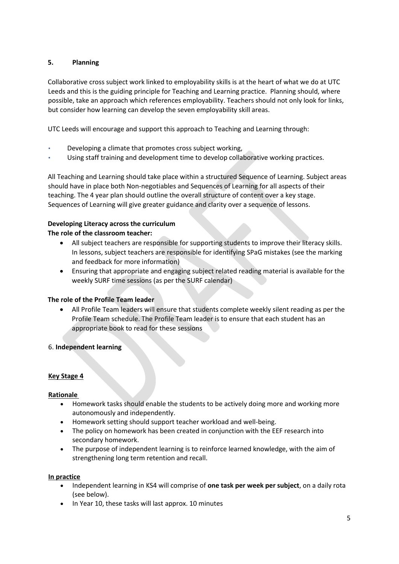## **5. Planning**

Collaborative cross subject work linked to employability skills is at the heart of what we do at UTC Leeds and this is the guiding principle for Teaching and Learning practice. Planning should, where possible, take an approach which references employability. Teachers should not only look for links, but consider how learning can develop the seven employability skill areas.

UTC Leeds will encourage and support this approach to Teaching and Learning through:

- Developing a climate that promotes cross subject working,
- Using staff training and development time to develop collaborative working practices.

All Teaching and Learning should take place within a structured Sequence of Learning. Subject areas should have in place both Non-negotiables and Sequences of Learning for all aspects of their teaching. The 4 year plan should outline the overall structure of content over a key stage. Sequences of Learning will give greater guidance and clarity over a sequence of lessons.

# **Developing Literacy across the curriculum**

#### **The role of the classroom teacher:**

- All subject teachers are responsible for supporting students to improve their literacy skills. In lessons, subject teachers are responsible for identifying SPaG mistakes (see the marking and feedback for more information)
- Ensuring that appropriate and engaging subject related reading material is available for the weekly SURF time sessions (as per the SURF calendar)

#### **The role of the Profile Team leader**

 All Profile Team leaders will ensure that students complete weekly silent reading as per the Profile Team schedule. The Profile Team leader is to ensure that each student has an appropriate book to read for these sessions

#### 6. **Independent learning**

#### **Key Stage 4**

#### **Rationale**

- Homework tasks should enable the students to be actively doing more and working more autonomously and independently.
- Homework setting should support teacher workload and well-being.
- The policy on homework has been created in conjunction with the EEF research into secondary homework.
- The purpose of independent learning is to reinforce learned knowledge, with the aim of strengthening long term retention and recall.

#### **In practice**

- Independent learning in KS4 will comprise of **one task per week per subject**, on a daily rota (see below).
- In Year 10, these tasks will last approx. 10 minutes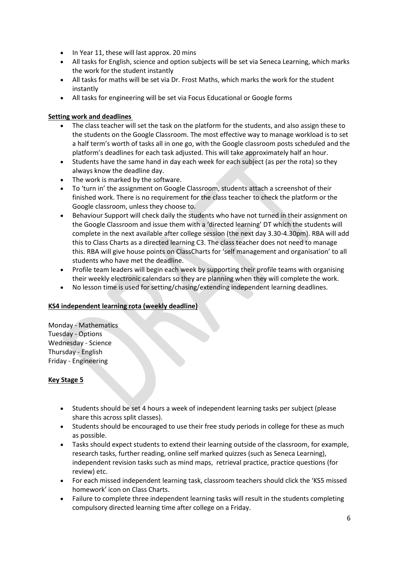- In Year 11, these will last approx. 20 mins
- All tasks for English, science and option subjects will be set via Seneca Learning, which marks the work for the student instantly
- All tasks for maths will be set via Dr. Frost Maths, which marks the work for the student instantly
- All tasks for engineering will be set via Focus Educational or Google forms

## **Setting work and deadlines**

- The class teacher will set the task on the platform for the students, and also assign these to the students on the Google Classroom. The most effective way to manage workload is to set a half term's worth of tasks all in one go, with the Google classroom posts scheduled and the platform's deadlines for each task adjusted. This will take approximately half an hour.
- Students have the same hand in day each week for each subject (as per the rota) so they always know the deadline day.
- The work is marked by the software.
- To 'turn in' the assignment on Google Classroom, students attach a screenshot of their finished work. There is no requirement for the class teacher to check the platform or the Google classroom, unless they choose to.
- Behaviour Support will check daily the students who have not turned in their assignment on the Google Classroom and issue them with a 'directed learning' DT which the students will complete in the next available after college session (the next day 3.30-4.30pm). RBA will add this to Class Charts as a directed learning C3. The class teacher does not need to manage this. RBA will give house points on ClassCharts for 'self management and organisation' to all students who have met the deadline.
- Profile team leaders will begin each week by supporting their profile teams with organising their weekly electronic calendars so they are planning when they will complete the work.
- No lesson time is used for setting/chasing/extending independent learning deadlines.

#### **KS4 independent learning rota (weekly deadline)**

Monday - Mathematics Tuesday - Options Wednesday - Science Thursday - English Friday - Engineering

#### **Key Stage 5**

- Students should be set 4 hours a week of independent learning tasks per subject (please share this across split classes).
- Students should be encouraged to use their free study periods in college for these as much as possible.
- Tasks should expect students to extend their learning outside of the classroom, for example, research tasks, further reading, online self marked quizzes (such as Seneca Learning), independent revision tasks such as mind maps, retrieval practice, practice questions (for review) etc.
- For each missed independent learning task, classroom teachers should click the 'KS5 missed homework' icon on Class Charts.
- Failure to complete three independent learning tasks will result in the students completing compulsory directed learning time after college on a Friday.